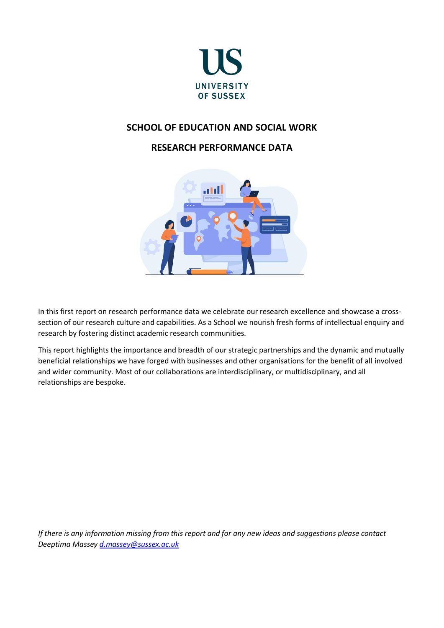

# **SCHOOL OF EDUCATION AND SOCIAL WORK**

# **RESEARCH PERFORMANCE DATA**



In this first report on research performance data we celebrate our research excellence and showcase a crosssection of our research culture and capabilities. As a School we nourish fresh forms of intellectual enquiry and research by fostering distinct academic research communities.

This report highlights the importance and breadth of our strategic partnerships and the dynamic and mutually beneficial relationships we have forged with businesses and other organisations for the benefit of all involved and wider community. Most of our collaborations are interdisciplinary, or multidisciplinary, and all relationships are bespoke.

*If there is any information missing from this report and for any new ideas and suggestions please contact Deeptima Massey [d.massey@sussex.ac.uk](mailto:d.massey@sussex.ac.uk)*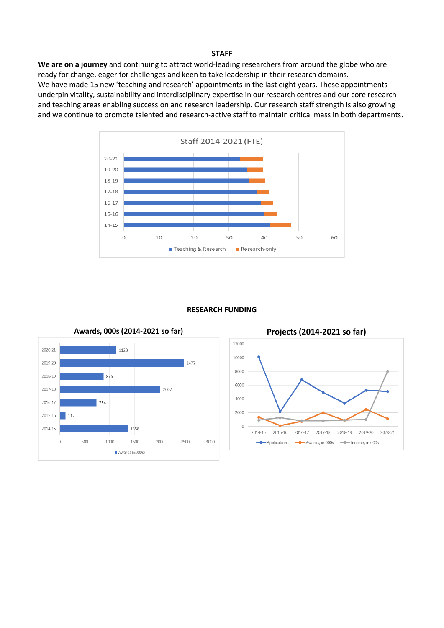#### **STAFF**

**We are on a journey** and continuing to attract world-leading researchers from around the globe who are ready for change, eager for challenges and keen to take leadership in their research domains. We have made 15 new 'teaching and research' appointments in the last eight years. These appointments underpin vitality, sustainability and interdisciplinary expertise in our research centres and our core research and teaching areas enabling succession and research leadership. Our research staff strength is also growing and we continue to promote talented and research-active staff to maintain critical mass in both departments.



#### **RESEARCH FUNDING**



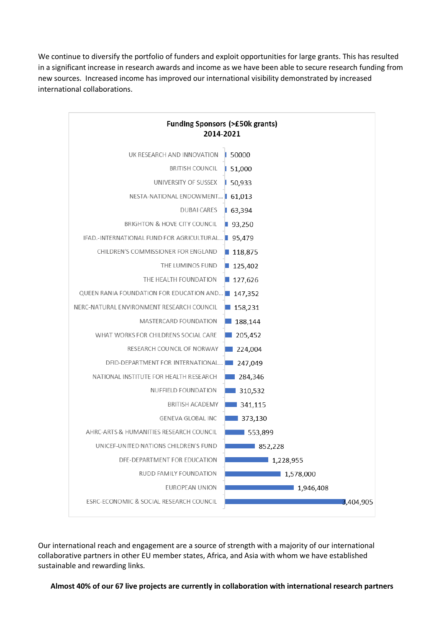We continue to diversify the portfolio of funders and exploit opportunities for large grants. This has resulted in a significant increase in research awards and income as we have been able to secure research funding from new sources. Increased income has improved our international visibility demonstrated by increased international collaborations.



Our international reach and engagement are a source of strength with a majority of our international collaborative partners in other EU member states, Africa, and Asia with whom we have established sustainable and rewarding links.

**Almost 40% of our 67 live projects are currently in collaboration with international research partners**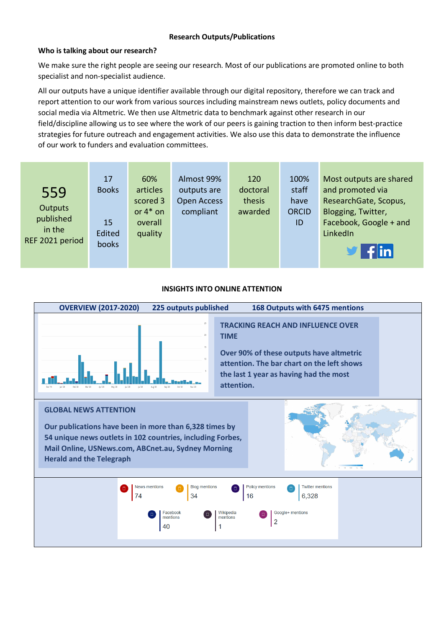## **Who is talking about our research?**

We make sure the right people are seeing our research. Most of our publications are promoted online to both specialist and non-specialist audience.

All our outputs have a unique identifier available through our digital repository, therefore we can track and report attention to our work from various sources including mainstream news outlets, policy documents and social media via Altmetric. We then use Altmetric data to benchmark against other research in our field/discipline allowing us to see where the work of our peers is gaining traction to then inform best-practice strategies for future outreach and engagement activities. We also use this data to demonstrate the influence of our work to funders and evaluation committees.

| $\mathbf{y}$ fin |
|------------------|
|------------------|

#### **INSIGHTS INTO ONLINE ATTENTION**

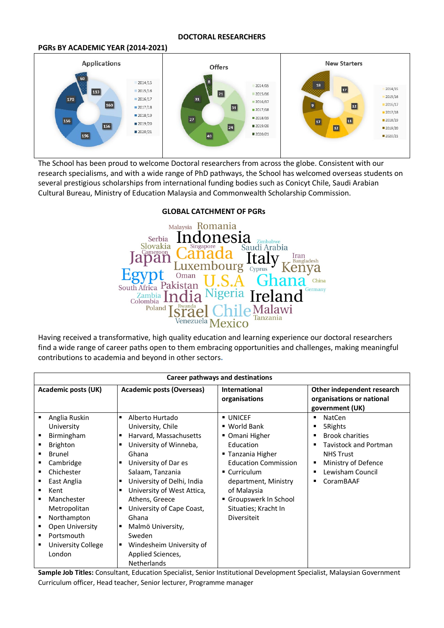#### **DOCTORAL RESEARCHERS**

#### **PGRs BY ACADEMIC YEAR (2014-2021)**



The School has been proud to welcome Doctoral researchers from across the globe. Consistent with our research specialisms, and with a wide range of PhD pathways, the School has welcomed overseas students on several prestigious scholarships from international funding bodies such as Conicyt Chile, Saudi Arabian Cultural Bureau, Ministry of Education Malaysia and Commonwealth Scholarship Commission.

#### Malaysia Romania sıa Serbia Zimbabw Slovakia Saudi Arabia Iran<br>Bangladesh Ital pan bourg Cyprus uxem Kenya Oman China South Africa Pakistan .<br>Germany Zambia<br>Colombia Poland Malawi el ď Tanzania Venezuela Mexico

Having received a transformative, high quality education and learning experience our doctoral researchers find a wide range of career paths open to them embracing opportunities and challenges, making meaningful contributions to academia and beyond in other sectors**.** 

| <b>Career pathways and destinations</b> |                                                                                                                                                                                                                                                             |                                                                                                                                                                                                                                                                                                                                                                                                                 |                                                                                                                                                                                                                                 |                                                                                                                                                                                    |  |
|-----------------------------------------|-------------------------------------------------------------------------------------------------------------------------------------------------------------------------------------------------------------------------------------------------------------|-----------------------------------------------------------------------------------------------------------------------------------------------------------------------------------------------------------------------------------------------------------------------------------------------------------------------------------------------------------------------------------------------------------------|---------------------------------------------------------------------------------------------------------------------------------------------------------------------------------------------------------------------------------|------------------------------------------------------------------------------------------------------------------------------------------------------------------------------------|--|
| <b>Academic posts (UK)</b>              |                                                                                                                                                                                                                                                             | Academic posts (Overseas)                                                                                                                                                                                                                                                                                                                                                                                       | <b>International</b><br>organisations                                                                                                                                                                                           | Other independent research<br>organisations or national<br>government (UK)                                                                                                         |  |
| ٠<br>٠                                  | Anglia Ruskin<br>University<br>Birmingham<br><b>Brighton</b><br><b>Brunel</b><br>Cambridge<br>Chichester<br>East Anglia<br>Kent<br>Manchester<br>Metropolitan<br>Northampton<br><b>Open University</b><br>Portsmouth<br><b>University College</b><br>London | Alberto Hurtado<br>٠<br>University, Chile<br>Harvard, Massachusetts<br>University of Winneba,<br>٠<br>Ghana<br>University of Dar es<br>п<br>Salaam, Tanzania<br>University of Delhi, India<br>п<br>University of West Attica,<br>п<br>Athens, Greece<br>University of Cape Coast,<br>п<br>Ghana<br>Malmö University,<br>٠<br>Sweden<br>Windesheim University of<br>٠<br>Applied Sciences,<br><b>Netherlands</b> | UNICEF<br>■ World Bank<br>■ Omani Higher<br>Education<br>■ Tanzania Higher<br><b>Education Commission</b><br>■ Curriculum<br>department, Ministry<br>of Malaysia<br>Groupswerk In School<br>Situaties; Kracht In<br>Diversiteit | <b>NatCen</b><br>п<br>5Rights<br>п<br><b>Brook charities</b><br><b>Tavistock and Portman</b><br>п<br><b>NHS Trust</b><br>Ministry of Defence<br>в<br>Lewisham Council<br>CoramBAAF |  |

**Sample Job Titles:** Consultant, Education Specialist, Senior Institutional Development Specialist, Malaysian Government Curriculum officer, Head teacher, Senior lecturer, Programme manager

#### **GLOBAL CATCHMENT OF PGRs**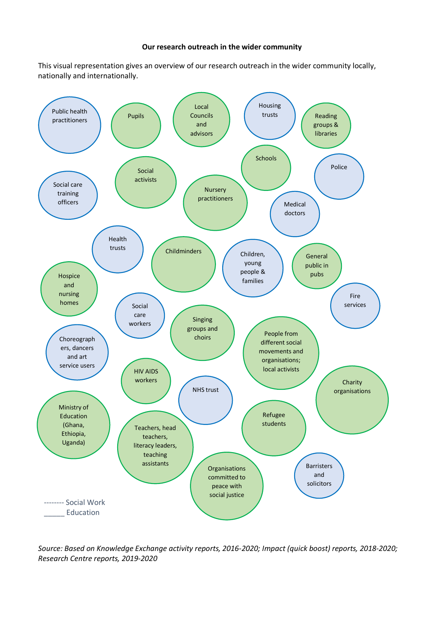#### **Our research outreach in the wider community**

This visual representation gives an overview of our research outreach in the wider community locally, nationally and internationally.



*Source: Based on Knowledge Exchange activity reports, 2016-2020; Impact (quick boost) reports, 2018-2020; Research Centre reports, 2019-2020*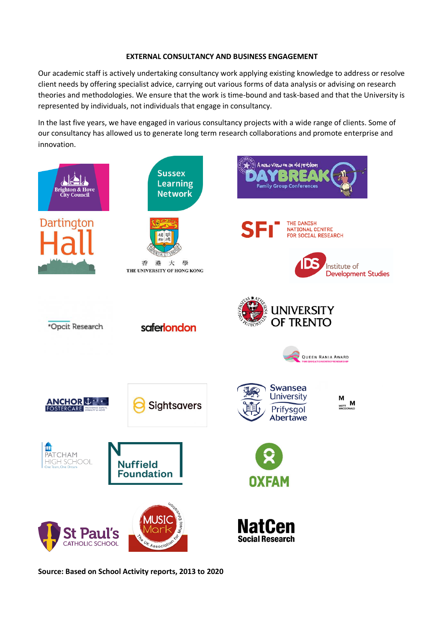#### **EXTERNAL CONSULTANCY AND BUSINESS ENGAGEMENT**

Our academic staff is actively undertaking consultancy work applying existing knowledge to address or resolve client needs by offering specialist advice, carrying out various forms of data analysis or advising on research theories and methodologies. We ensure that the work is time-bound and task-based and that the University is represented by individuals, not individuals that engage in consultancy.

In the last five years, we have engaged in various consultancy projects with a wide range of clients. Some of our consultancy has allowed us to generate long term research collaborations and promote enterprise and innovation.



**Source: Based on School Activity reports, 2013 to 2020**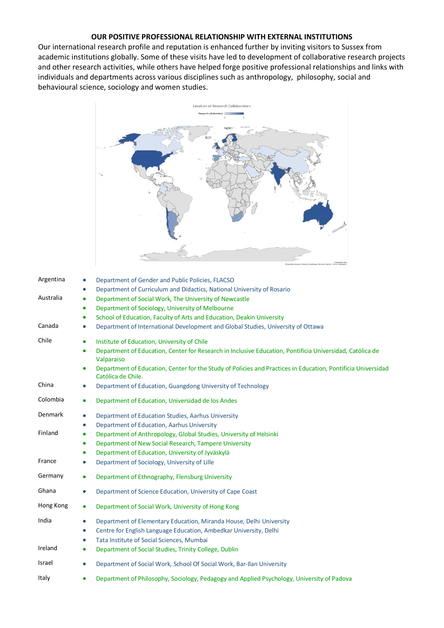## **OUR POSITIVE PROFESSIONAL RELATIONSHIP WITH EXTERNAL INSTITUTIONS**

Our international research profile and reputation is enhanced further by inviting visitors to Sussex from academic institutions globally. Some of these visits have led to development of collaborative research projects and other research activities, while others have helped forge positive professional relationships and links with individuals and departments across various disciplines such as anthropology, philosophy, social and behavioural science, sociology and women studies.



| Argentina | Department of Gender and Public Policies, FLACSO<br>$\bullet$                                                                                   |
|-----------|-------------------------------------------------------------------------------------------------------------------------------------------------|
|           | Department of Curriculum and Didactics, National University of Rosario<br>$\bullet$                                                             |
| Australia | Department of Social Work, The University of Newcastle<br>$\bullet$                                                                             |
|           | Department of Sociology, University of Melbourne<br>$\bullet$                                                                                   |
|           | School of Education, Faculty of Arts and Education, Deakin University<br>$\bullet$                                                              |
| Canada    | Department of International Development and Global Studies, University of Ottawa<br>$\bullet$                                                   |
| Chile     | Institute of Education, University of Chile<br>$\bullet$                                                                                        |
|           | Department of Education, Center for Research in Inclusive Education, Pontificia Universidad, Católica de<br>$\bullet$<br>Valparaiso             |
|           | Department of Education, Center for the Study of Policies and Practices in Education, Pontificia Universidad<br>$\bullet$<br>Católica de Chile. |
| China     | Department of Education, Guangdong University of Technology<br>$\bullet$                                                                        |
| Colombia  | Department of Education, Universidad de los Andes<br>$\bullet$                                                                                  |
| Denmark   | Department of Education Studies, Aarhus University<br>$\bullet$                                                                                 |
|           | Department of Education, Aarhus University<br>$\bullet$                                                                                         |
| Finland   | Department of Anthropology, Global Studies, University of Helsinki<br>$\bullet$                                                                 |
|           | Department of New Social Research, Tampere University<br>٠                                                                                      |
|           | Department of Education, University of Jyväskylä<br>$\bullet$                                                                                   |
| France    | Department of Sociology, University of Lille<br>$\bullet$                                                                                       |
| Germany   | Department of Ethnography, Flensburg University<br>$\bullet$                                                                                    |
| Ghana     | Department of Science Education, University of Cape Coast<br>$\bullet$                                                                          |
| Hong Kong | Department of Social Work, University of Hong Kong<br>$\bullet$                                                                                 |
| India     | Department of Elementary Education, Miranda House, Delhi University<br>$\bullet$                                                                |
|           | Centre for English Language Education, Ambedkar University, Delhi<br>$\bullet$                                                                  |
|           | Tata Institute of Social Sciences, Mumbai<br>$\bullet$                                                                                          |
| Ireland   | Department of Social Studies, Trinity College, Dublin<br>$\bullet$                                                                              |
| Israel    | Department of Social Work, School Of Social Work, Bar-Ilan University<br>$\bullet$                                                              |
| Italy     | Department of Philosophy, Sociology, Pedagogy and Applied Psychology, University of Padova<br>٠                                                 |